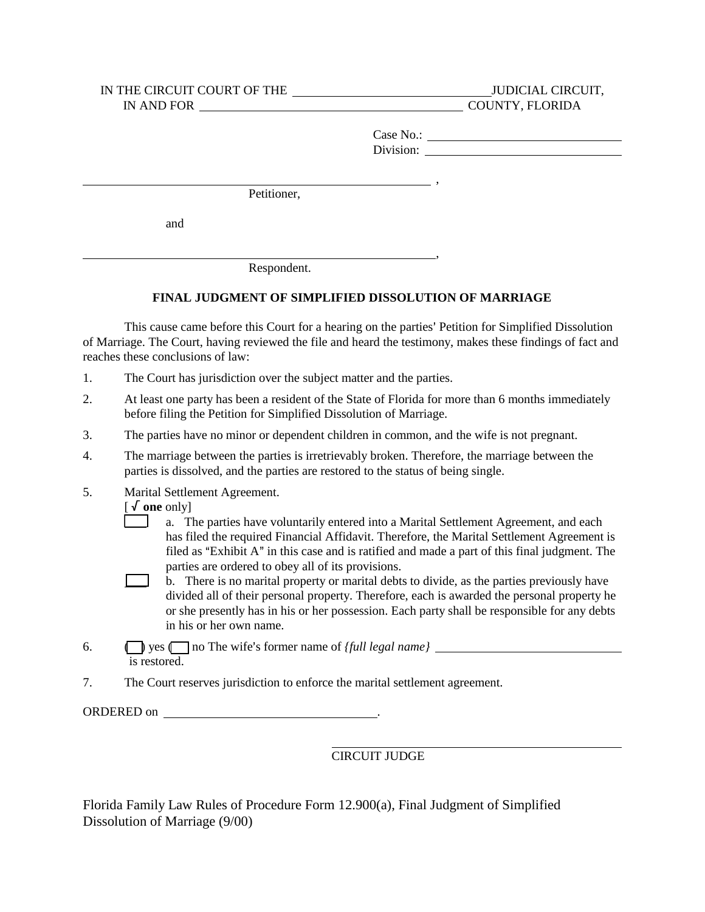## IN THE CIRCUIT COURT OF THE JUDICIAL CIRCUIT, IN AND FOR

COUNTY, FLORIDA

Division:  $\frac{ }{ }$ , Case No.:

,

Petitioner,

and

l

l

Respondent.

## **FINAL JUDGMENT OF SIMPLIFIED DISSOLUTION OF MARRIAGE**

This cause came before this Court for a hearing on the parties' Petition for Simplified Dissolution of Marriage. The Court, having reviewed the file and heard the testimony, makes these findings of fact and reaches these conclusions of law:

- 1. The Court has jurisdiction over the subject matter and the parties.
- 2. At least one party has been a resident of the State of Florida for more than 6 months immediately before filing the Petition for Simplified Dissolution of Marriage.
- 3. The parties have no minor or dependent children in common, and the wife is not pregnant.
- 4. The marriage between the parties is irretrievably broken. Therefore, the marriage between the parties is dissolved, and the parties are restored to the status of being single.
- 5. Marital Settlement Agreement.

[ **one** only]

- L filed as "Exhibit A" in this case and is ratified and made a part of this final judgment. The a. The parties have voluntarily entered into a Marital Settlement Agreement, and each has filed the required Financial Affidavit. Therefore, the Marital Settlement Agreement is parties are ordered to obey all of its provisions.
- b. There is no marital property or marital debts to divide, as the parties previously have  $\Box$ I divided all of their personal property. Therefore, each is awarded the personal property he or she presently has in his or her possession. Each party shall be responsible for any debts in his or her own name.
- 6. is restored. **Figure 1** yes **( )** no The wife's former name of *{full legal name}*
- 7. The Court reserves jurisdiction to enforce the marital settlement agreement.

ORDERED on .

## CIRCUIT JUDGE

Florida Family Law Rules of Procedure Form 12.900(a), Final Judgment of Simplified Dissolution of Marriage (9/00)